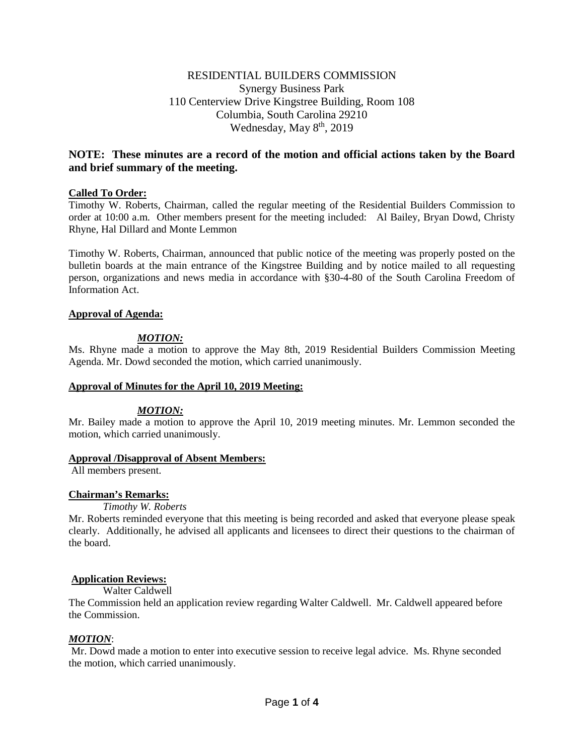# RESIDENTIAL BUILDERS COMMISSION Synergy Business Park 110 Centerview Drive Kingstree Building, Room 108 Columbia, South Carolina 29210 Wednesday, May 8<sup>th</sup>, 2019

# **NOTE: These minutes are a record of the motion and official actions taken by the Board and brief summary of the meeting.**

## **Called To Order:**

Timothy W. Roberts, Chairman, called the regular meeting of the Residential Builders Commission to order at 10:00 a.m. Other members present for the meeting included: Al Bailey, Bryan Dowd, Christy Rhyne, Hal Dillard and Monte Lemmon

Timothy W. Roberts, Chairman, announced that public notice of the meeting was properly posted on the bulletin boards at the main entrance of the Kingstree Building and by notice mailed to all requesting person, organizations and news media in accordance with §30-4-80 of the South Carolina Freedom of Information Act.

## **Approval of Agenda:**

# *MOTION:*

Ms. Rhyne made a motion to approve the May 8th, 2019 Residential Builders Commission Meeting Agenda. Mr. Dowd seconded the motion, which carried unanimously.

## **Approval of Minutes for the April 10, 2019 Meeting:**

## *MOTION:*

Mr. Bailey made a motion to approve the April 10, 2019 meeting minutes. Mr. Lemmon seconded the motion, which carried unanimously.

#### **Approval /Disapproval of Absent Members:**

All members present.

## **Chairman's Remarks:**

*Timothy W. Roberts*

Mr. Roberts reminded everyone that this meeting is being recorded and asked that everyone please speak clearly. Additionally, he advised all applicants and licensees to direct their questions to the chairman of the board.

## **Application Reviews:**

Walter Caldwell

The Commission held an application review regarding Walter Caldwell. Mr. Caldwell appeared before the Commission.

# *MOTION*:

Mr. Dowd made a motion to enter into executive session to receive legal advice. Ms. Rhyne seconded the motion, which carried unanimously.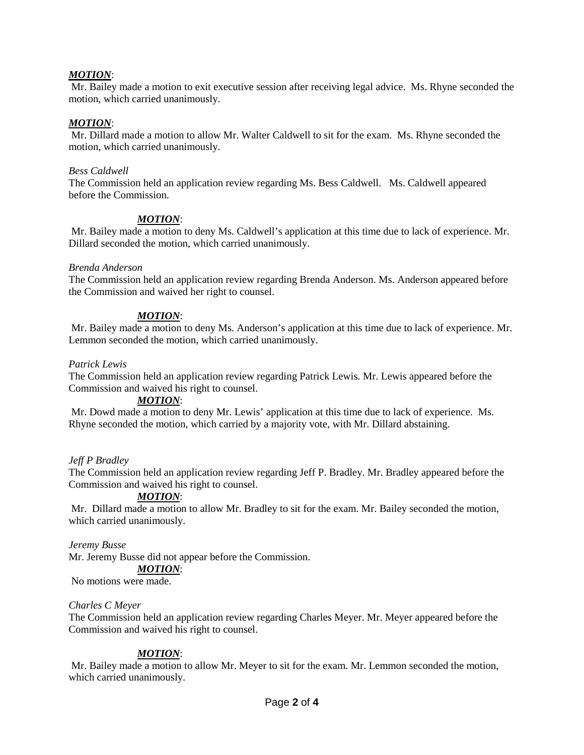# *MOTION*:

Mr. Bailey made a motion to exit executive session after receiving legal advice. Ms. Rhyne seconded the motion, which carried unanimously.

## *MOTION*:

Mr. Dillard made a motion to allow Mr. Walter Caldwell to sit for the exam. Ms. Rhyne seconded the motion, which carried unanimously.

### *Bess Caldwell*

The Commission held an application review regarding Ms. Bess Caldwell. Ms. Caldwell appeared before the Commission.

## *MOTION*:

Mr. Bailey made a motion to deny Ms. Caldwell's application at this time due to lack of experience. Mr. Dillard seconded the motion, which carried unanimously.

#### *Brenda Anderson*

The Commission held an application review regarding Brenda Anderson. Ms. Anderson appeared before the Commission and waived her right to counsel.

## *MOTION*:

Mr. Bailey made a motion to deny Ms. Anderson's application at this time due to lack of experience. Mr. Lemmon seconded the motion, which carried unanimously.

#### *Patrick Lewis*

The Commission held an application review regarding Patrick Lewis. Mr. Lewis appeared before the Commission and waived his right to counsel.

## *MOTION*:

Mr. Dowd made a motion to deny Mr. Lewis' application at this time due to lack of experience. Ms. Rhyne seconded the motion, which carried by a majority vote, with Mr. Dillard abstaining.

## *Jeff P Bradley*

The Commission held an application review regarding Jeff P. Bradley. Mr. Bradley appeared before the Commission and waived his right to counsel.

## *MOTION*:

Mr. Dillard made a motion to allow Mr. Bradley to sit for the exam. Mr. Bailey seconded the motion, which carried unanimously.

#### *Jeremy Busse*

Mr. Jeremy Busse did not appear before the Commission.

## *MOTION*:

No motions were made.

#### *Charles C Meyer*

The Commission held an application review regarding Charles Meyer. Mr. Meyer appeared before the Commission and waived his right to counsel.

## *MOTION*:

Mr. Bailey made a motion to allow Mr. Meyer to sit for the exam. Mr. Lemmon seconded the motion, which carried unanimously.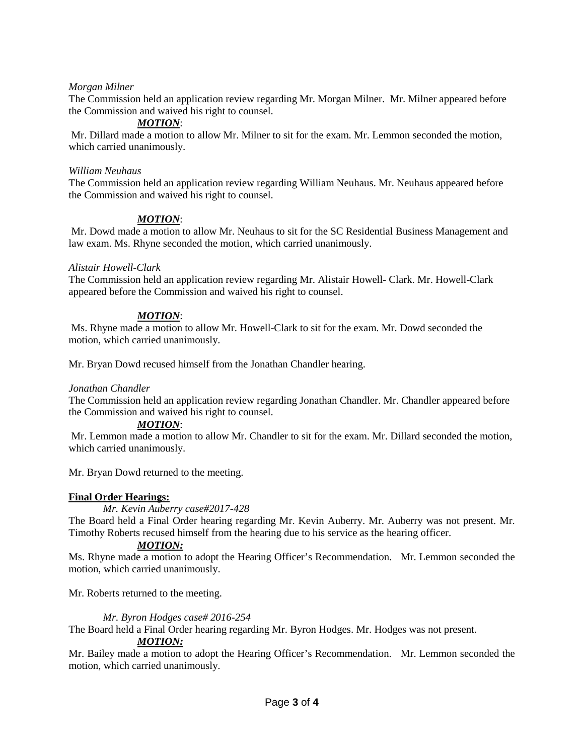# *Morgan Milner*

The Commission held an application review regarding Mr. Morgan Milner. Mr. Milner appeared before the Commission and waived his right to counsel.

# *MOTION*:

Mr. Dillard made a motion to allow Mr. Milner to sit for the exam. Mr. Lemmon seconded the motion, which carried unanimously.

### *William Neuhaus*

The Commission held an application review regarding William Neuhaus. Mr. Neuhaus appeared before the Commission and waived his right to counsel.

# *MOTION*:

Mr. Dowd made a motion to allow Mr. Neuhaus to sit for the SC Residential Business Management and law exam. Ms. Rhyne seconded the motion, which carried unanimously.

## *Alistair Howell-Clark*

The Commission held an application review regarding Mr. Alistair Howell- Clark. Mr. Howell-Clark appeared before the Commission and waived his right to counsel.

# *MOTION*:

Ms. Rhyne made a motion to allow Mr. Howell-Clark to sit for the exam. Mr. Dowd seconded the motion, which carried unanimously.

Mr. Bryan Dowd recused himself from the Jonathan Chandler hearing.

## *Jonathan Chandler*

The Commission held an application review regarding Jonathan Chandler. Mr. Chandler appeared before the Commission and waived his right to counsel.

## *MOTION*:

Mr. Lemmon made a motion to allow Mr. Chandler to sit for the exam. Mr. Dillard seconded the motion, which carried unanimously.

Mr. Bryan Dowd returned to the meeting.

## **Final Order Hearings:**

*Mr. Kevin Auberry case#2017-428*

The Board held a Final Order hearing regarding Mr. Kevin Auberry. Mr. Auberry was not present. Mr. Timothy Roberts recused himself from the hearing due to his service as the hearing officer.

# *MOTION:*

Ms. Rhyne made a motion to adopt the Hearing Officer's Recommendation. Mr. Lemmon seconded the motion, which carried unanimously.

Mr. Roberts returned to the meeting.

## *Mr. Byron Hodges case# 2016-254*

The Board held a Final Order hearing regarding Mr. Byron Hodges. Mr. Hodges was not present.

## *MOTION:*

Mr. Bailey made a motion to adopt the Hearing Officer's Recommendation. Mr. Lemmon seconded the motion, which carried unanimously.